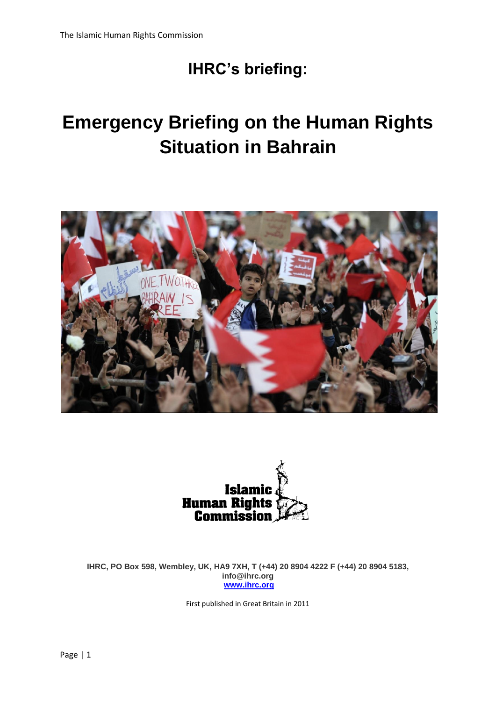# **IHRC's briefing:**

# **Emergency Briefing on the Human Rights Situation in Bahrain**





**IHRC, PO Box 598, Wembley, UK, HA9 7XH, T (+44) 20 8904 4222 F (+44) 20 8904 5183, info@ihrc.org [www.ihrc.org](http://www.ihrc.org/)**

First published in Great Britain in 2011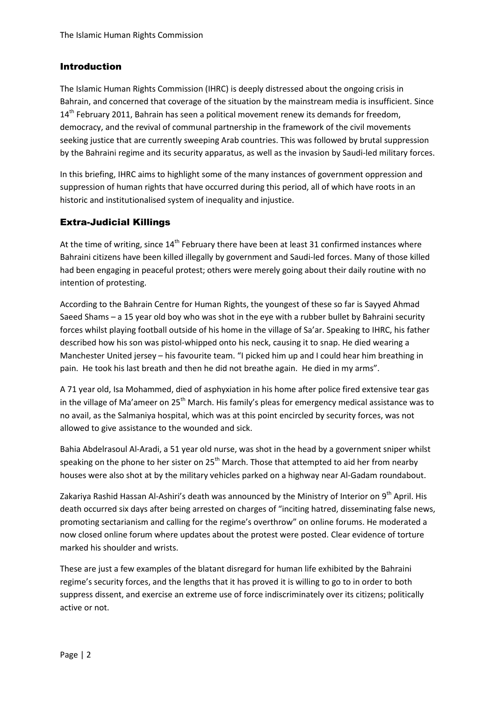#### Introduction

The Islamic Human Rights Commission (IHRC) is deeply distressed about the ongoing crisis in Bahrain, and concerned that coverage of the situation by the mainstream media is insufficient. Since  $14<sup>th</sup>$  February 2011, Bahrain has seen a political movement renew its demands for freedom, democracy, and the revival of communal partnership in the framework of the civil movements seeking justice that are currently sweeping Arab countries. This was followed by brutal suppression by the Bahraini regime and its security apparatus, as well as the invasion by Saudi-led military forces.

In this briefing, IHRC aims to highlight some of the many instances of government oppression and suppression of human rights that have occurred during this period, all of which have roots in an historic and institutionalised system of inequality and injustice.

#### Extra-Judicial Killings

At the time of writing, since  $14<sup>th</sup>$  February there have been at least 31 confirmed instances where Bahraini citizens have been killed illegally by government and Saudi-led forces. Many of those killed had been engaging in peaceful protest; others were merely going about their daily routine with no intention of protesting.

According to the Bahrain Centre for Human Rights, the youngest of these so far is Sayyed Ahmad Saeed Shams – a 15 year old boy who was shot in the eye with a rubber bullet by Bahraini security forces whilst playing football outside of his home in the village of Sa'ar. Speaking to IHRC, his father described how his son was pistol-whipped onto his neck, causing it to snap. He died wearing a Manchester United jersey – his favourite team. "I picked him up and I could hear him breathing in pain. He took his last breath and then he did not breathe again. He died in my arms".

A 71 year old, Isa Mohammed, died of asphyxiation in his home after police fired extensive tear gas in the village of Ma'ameer on 25<sup>th</sup> March. His family's pleas for emergency medical assistance was to no avail, as the Salmaniya hospital, which was at this point encircled by security forces, was not allowed to give assistance to the wounded and sick.

Bahia Abdelrasoul Al-Aradi, a 51 year old nurse, was shot in the head by a government sniper whilst speaking on the phone to her sister on  $25<sup>th</sup>$  March. Those that attempted to aid her from nearby houses were also shot at by the military vehicles parked on a highway near Al-Gadam roundabout.

Zakariya Rashid Hassan Al-Ashiri's death was announced by the Ministry of Interior on 9<sup>th</sup> April. His death occurred six days after being arrested on charges of "inciting hatred, disseminating false news, promoting sectarianism and calling for the regime's overthrow" on online forums. He moderated a now closed online forum where updates about the protest were posted. Clear evidence of torture marked his shoulder and wrists.

These are just a few examples of the blatant disregard for human life exhibited by the Bahraini regime's security forces, and the lengths that it has proved it is willing to go to in order to both suppress dissent, and exercise an extreme use of force indiscriminately over its citizens; politically active or not.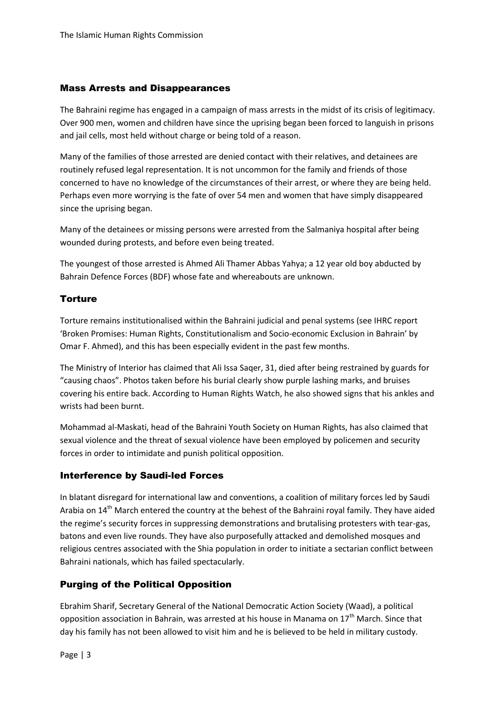#### Mass Arrests and Disappearances

The Bahraini regime has engaged in a campaign of mass arrests in the midst of its crisis of legitimacy. Over 900 men, women and children have since the uprising began been forced to languish in prisons and jail cells, most held without charge or being told of a reason.

Many of the families of those arrested are denied contact with their relatives, and detainees are routinely refused legal representation. It is not uncommon for the family and friends of those concerned to have no knowledge of the circumstances of their arrest, or where they are being held. Perhaps even more worrying is the fate of over 54 men and women that have simply disappeared since the uprising began.

Many of the detainees or missing persons were arrested from the Salmaniya hospital after being wounded during protests, and before even being treated.

The youngest of those arrested is Ahmed Ali Thamer Abbas Yahya; a 12 year old boy abducted by Bahrain Defence Forces (BDF) whose fate and whereabouts are unknown.

#### **Torture**

Torture remains institutionalised within the Bahraini judicial and penal systems (see IHRC report 'Broken Promises: Human Rights, Constitutionalism and Socio-economic Exclusion in Bahrain' by Omar F. Ahmed), and this has been especially evident in the past few months.

The Ministry of Interior has claimed that Ali Issa Saqer, 31, died after being restrained by guards for "causing chaos". Photos taken before his burial clearly show purple lashing marks, and bruises covering his entire back. According to Human Rights Watch, he also showed signs that his ankles and wrists had been burnt.

Mohammad al-Maskati, head of the Bahraini Youth Society on Human Rights, has also claimed that sexual violence and the threat of sexual violence have been employed by policemen and security forces in order to intimidate and punish political opposition.

#### Interference by Saudi-led Forces

In blatant disregard for international law and conventions, a coalition of military forces led by Saudi Arabia on  $14<sup>th</sup>$  March entered the country at the behest of the Bahraini royal family. They have aided the regime's security forces in suppressing demonstrations and brutalising protesters with tear-gas, batons and even live rounds. They have also purposefully attacked and demolished mosques and religious centres associated with the Shia population in order to initiate a sectarian conflict between Bahraini nationals, which has failed spectacularly.

#### Purging of the Political Opposition

Ebrahim Sharif, Secretary General of the National Democratic Action Society (Waad), a political opposition association in Bahrain, was arrested at his house in Manama on  $17<sup>th</sup>$  March. Since that day his family has not been allowed to visit him and he is believed to be held in military custody.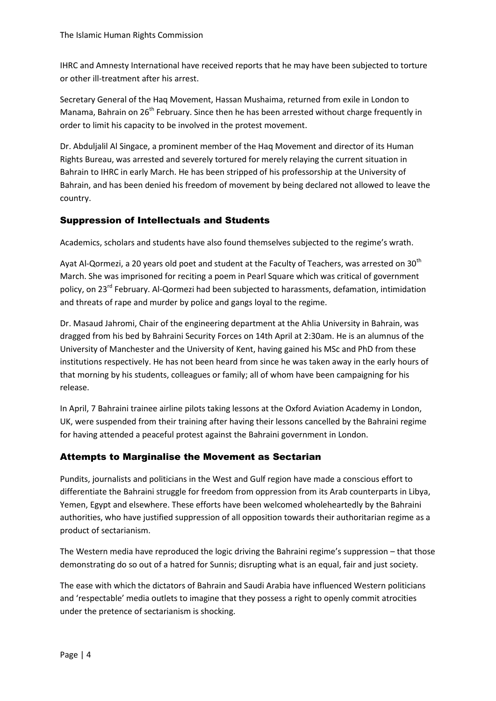IHRC and Amnesty International have received reports that he may have been subjected to torture or other ill-treatment after his arrest.

Secretary General of the Haq Movement, Hassan Mushaima, returned from exile in London to Manama, Bahrain on 26<sup>th</sup> February. Since then he has been arrested without charge frequently in order to limit his capacity to be involved in the protest movement.

Dr. Abduljalil Al Singace, a prominent member of the Haq Movement and director of its Human Rights Bureau, was arrested and severely tortured for merely relaying the current situation in Bahrain to IHRC in early March. He has been stripped of his professorship at the University of Bahrain, and has been denied his freedom of movement by being declared not allowed to leave the country.

#### Suppression of Intellectuals and Students

Academics, scholars and students have also found themselves subjected to the regime's wrath.

Ayat Al-Qormezi, a 20 years old poet and student at the Faculty of Teachers, was arrested on  $30<sup>th</sup>$ March. She was imprisoned for reciting a poem in Pearl Square which was critical of government policy, on 23<sup>rd</sup> February. Al-Qormezi had been subjected to harassments, defamation, intimidation and threats of rape and murder by police and gangs loyal to the regime.

Dr. Masaud Jahromi, Chair of the engineering department at the Ahlia University in Bahrain, was dragged from his bed by Bahraini Security Forces on 14th April at 2:30am. He is an alumnus of the University of Manchester and the University of Kent, having gained his MSc and PhD from these institutions respectively. He has not been heard from since he was taken away in the early hours of that morning by his students, colleagues or family; all of whom have been campaigning for his release.

In April, 7 Bahraini trainee airline pilots taking lessons at the Oxford Aviation Academy in London, UK, were suspended from their training after having their lessons cancelled by the Bahraini regime for having attended a peaceful protest against the Bahraini government in London.

#### Attempts to Marginalise the Movement as Sectarian

Pundits, journalists and politicians in the West and Gulf region have made a conscious effort to differentiate the Bahraini struggle for freedom from oppression from its Arab counterparts in Libya, Yemen, Egypt and elsewhere. These efforts have been welcomed wholeheartedly by the Bahraini authorities, who have justified suppression of all opposition towards their authoritarian regime as a product of sectarianism.

The Western media have reproduced the logic driving the Bahraini regime's suppression – that those demonstrating do so out of a hatred for Sunnis; disrupting what is an equal, fair and just society.

The ease with which the dictators of Bahrain and Saudi Arabia have influenced Western politicians and 'respectable' media outlets to imagine that they possess a right to openly commit atrocities under the pretence of sectarianism is shocking.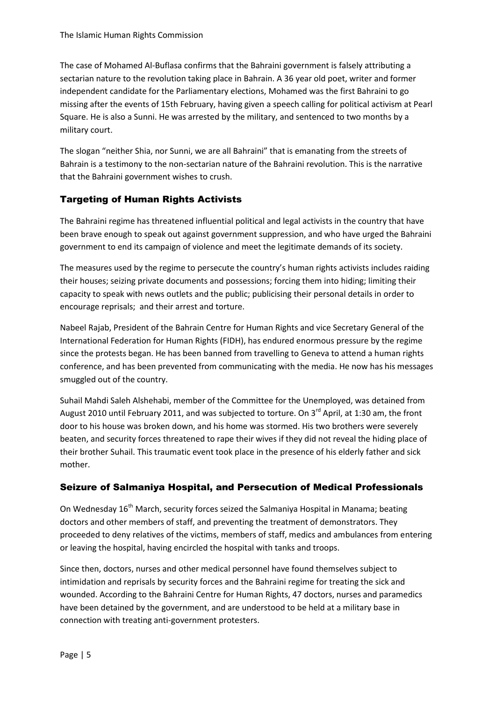The case of Mohamed Al-Buflasa confirms that the Bahraini government is falsely attributing a sectarian nature to the revolution taking place in Bahrain. A 36 year old poet, writer and former independent candidate for the Parliamentary elections, Mohamed was the first Bahraini to go missing after the events of 15th February, having given a speech calling for political activism at Pearl Square. He is also a Sunni. He was arrested by the military, and sentenced to two months by a military court.

The slogan "neither Shia, nor Sunni, we are all Bahraini" that is emanating from the streets of Bahrain is a testimony to the non-sectarian nature of the Bahraini revolution. This is the narrative that the Bahraini government wishes to crush.

## Targeting of Human Rights Activists

The Bahraini regime has threatened influential political and legal activists in the country that have been brave enough to speak out against government suppression, and who have urged the Bahraini government to end its campaign of violence and meet the legitimate demands of its society.

The measures used by the regime to persecute the country's human rights activists includes raiding their houses; seizing private documents and possessions; forcing them into hiding; limiting their capacity to speak with news outlets and the public; publicising their personal details in order to encourage reprisals; and their arrest and torture.

Nabeel Rajab, President of the Bahrain Centre for Human Rights and vice Secretary General of the International Federation for Human Rights (FIDH), has endured enormous pressure by the regime since the protests began. He has been banned from travelling to Geneva to attend a human rights conference, and has been prevented from communicating with the media. He now has his messages smuggled out of the country.

Suhail Mahdi Saleh Alshehabi, member of the Committee for the Unemployed, was detained from August 2010 until February 2011, and was subjected to torture. On  $3^{rd}$  April, at 1:30 am, the front door to his house was broken down, and his home was stormed. His two brothers were severely beaten, and security forces threatened to rape their wives if they did not reveal the hiding place of their brother Suhail. This traumatic event took place in the presence of his elderly father and sick mother.

### Seizure of Salmaniya Hospital, and Persecution of Medical Professionals

On Wednesday 16<sup>th</sup> March, security forces seized the Salmaniya Hospital in Manama; beating doctors and other members of staff, and preventing the treatment of demonstrators. They proceeded to deny relatives of the victims, members of staff, medics and ambulances from entering or leaving the hospital, having encircled the hospital with tanks and troops.

Since then, doctors, nurses and other medical personnel have found themselves subject to intimidation and reprisals by security forces and the Bahraini regime for treating the sick and wounded. According to the Bahraini Centre for Human Rights, 47 doctors, nurses and paramedics have been detained by the government, and are understood to be held at a military base in connection with treating anti-government protesters.